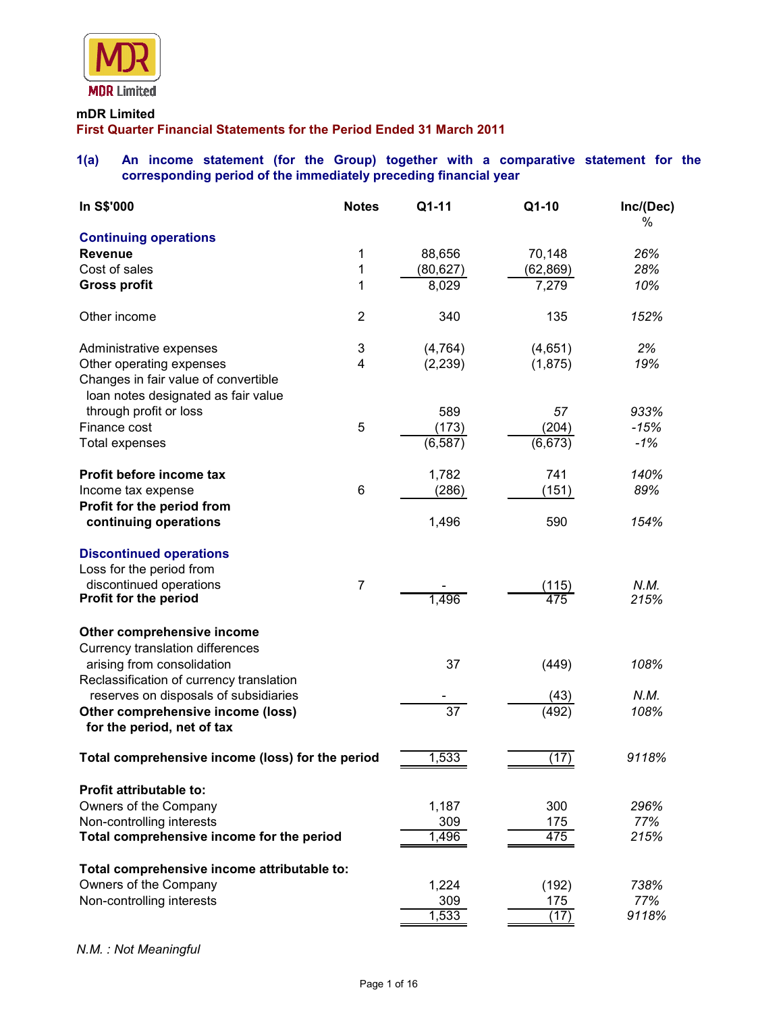

# **mDR Limited First Quarter Financial Statements for the Period Ended 31 March 2011**

# **1(a) An income statement (for the Group) together with a comparative statement for the corresponding period of the immediately preceding financial year**

| In S\$'000                                                       | <b>Notes</b>   | Q1-11           | Q1-10        | Inc/(Dec)<br>% |
|------------------------------------------------------------------|----------------|-----------------|--------------|----------------|
| <b>Continuing operations</b>                                     |                |                 |              |                |
| <b>Revenue</b>                                                   | 1              | 88,656          | 70,148       | 26%            |
| Cost of sales                                                    | 1              | (80, 627)       | (62, 869)    | 28%            |
| <b>Gross profit</b>                                              | 1              | 8,029           | 7,279        | 10%            |
| Other income                                                     | $\overline{2}$ | 340             | 135          | 152%           |
| Administrative expenses                                          | 3              | (4, 764)        | (4,651)      | 2%             |
| Other operating expenses<br>Changes in fair value of convertible | 4              | (2, 239)        | (1,875)      | 19%            |
| loan notes designated as fair value                              |                |                 |              |                |
| through profit or loss                                           |                | 589             | 57           | 933%           |
| Finance cost                                                     | 5              | (173)           | (204)        | $-15%$         |
| <b>Total expenses</b>                                            |                | (6, 587)        | (6, 673)     | $-1%$          |
| Profit before income tax                                         |                | 1,782           | 741          | 140%           |
| Income tax expense                                               | $\,6$          | (286)           | (151)        | 89%            |
| Profit for the period from                                       |                |                 |              |                |
| continuing operations                                            |                | 1,496           | 590          | 154%           |
| <b>Discontinued operations</b>                                   |                |                 |              |                |
| Loss for the period from                                         |                |                 |              |                |
| discontinued operations<br><b>Profit for the period</b>          | $\overline{7}$ | 1,496           | (115)<br>475 | N.M.<br>215%   |
| Other comprehensive income                                       |                |                 |              |                |
| <b>Currency translation differences</b>                          |                |                 |              |                |
| arising from consolidation                                       |                | 37              | (449)        | 108%           |
| Reclassification of currency translation                         |                |                 |              |                |
| reserves on disposals of subsidiaries                            |                |                 | (43)         | N.M.           |
| Other comprehensive income (loss)                                |                | $\overline{37}$ | (492)        | 108%           |
| for the period, net of tax                                       |                |                 |              |                |
| Total comprehensive income (loss) for the period                 |                | 1,533           | (17)         | 9118%          |
| <b>Profit attributable to:</b>                                   |                |                 |              |                |
| Owners of the Company                                            |                | 1,187           | 300          | 296%           |
| Non-controlling interests                                        |                | 309             | 175          | 77%            |
| Total comprehensive income for the period                        |                | 1,496           | 475          | 215%           |
| Total comprehensive income attributable to:                      |                |                 |              |                |
| Owners of the Company                                            |                | 1,224           | (192)        | 738%           |
| Non-controlling interests                                        |                | 309             | 175          | 77%            |
|                                                                  |                | 1,533           | (17)         | 9118%          |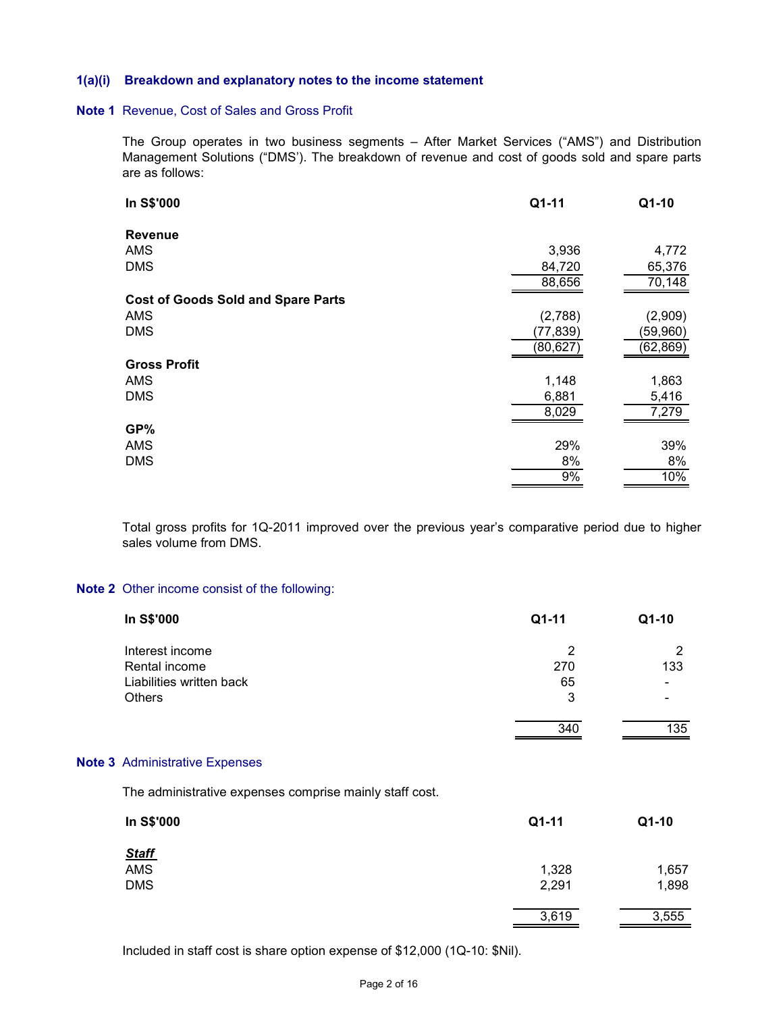#### **1(a)(i) Breakdown and explanatory notes to the income statement**

#### **Note 1** Revenue, Cost of Sales and Gross Profit

The Group operates in two business segments – After Market Services ("AMS") and Distribution Management Solutions ("DMS'). The breakdown of revenue and cost of goods sold and spare parts are as follows:

| In S\$'000                                | Q1-11     | Q1-10    |
|-------------------------------------------|-----------|----------|
| <b>Revenue</b>                            |           |          |
| AMS                                       | 3,936     | 4,772    |
| <b>DMS</b>                                | 84,720    | 65,376   |
|                                           | 88,656    | 70,148   |
| <b>Cost of Goods Sold and Spare Parts</b> |           |          |
| <b>AMS</b>                                | (2,788)   | (2,909)  |
| <b>DMS</b>                                | (77, 839) | (59,960) |
|                                           | (80,627)  | (62,869) |
| <b>Gross Profit</b>                       |           |          |
| <b>AMS</b>                                | 1,148     | 1,863    |
| <b>DMS</b>                                | 6,881     | 5,416    |
|                                           | 8,029     | 7,279    |
| GP%                                       |           |          |
| <b>AMS</b>                                | 29%       | 39%      |
| <b>DMS</b>                                | 8%        | 8%       |
|                                           | 9%        | 10%      |

Total gross profits for 1Q-2011 improved over the previous year's comparative period due to higher sales volume from DMS.

#### **Note 2** Other income consist of the following:

| Q1-11          | Q1-10 |
|----------------|-------|
| $\overline{2}$ | 2     |
| 270            | 133   |
| 65             |       |
| 3              |       |
| 340            | 135   |
|                |       |
|                |       |
| Q1-11          | Q1-10 |
|                |       |
|                | 1,657 |
| 2,291          | 1,898 |
| 3,619          | 3,555 |
|                | 1,328 |

Included in staff cost is share option expense of \$12,000 (1Q-10: \$Nil).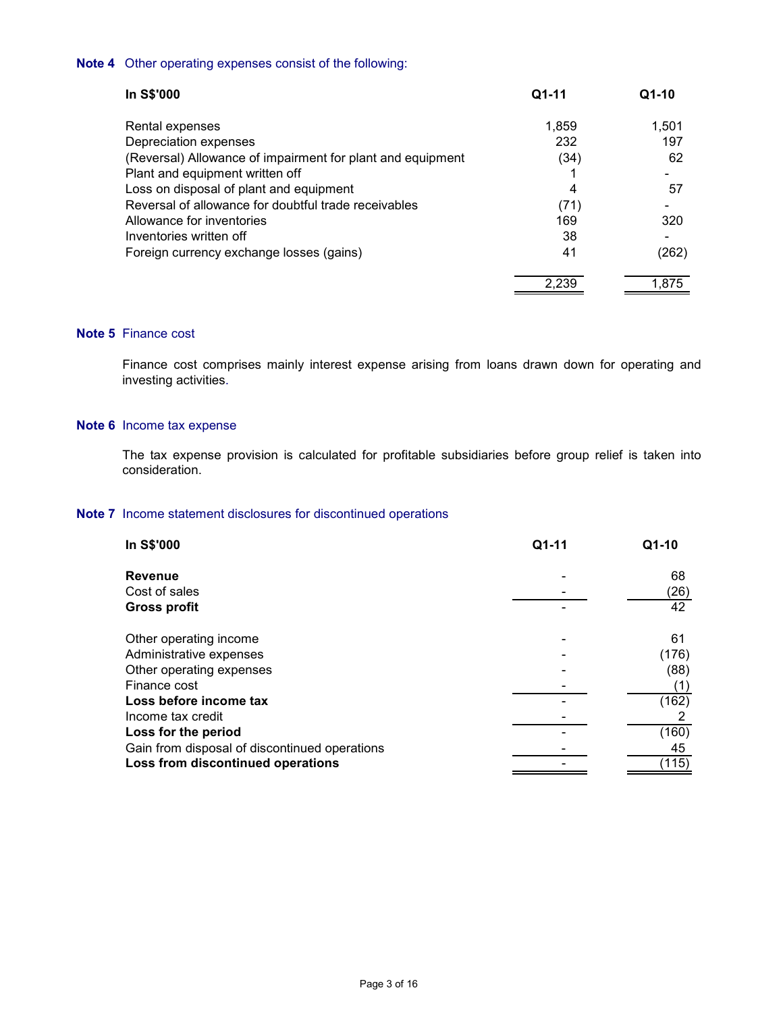# **Note 4** Other operating expenses consist of the following:

| In S\$'000                                                 | $Q1-11$ | $Q1-10$ |
|------------------------------------------------------------|---------|---------|
| Rental expenses                                            | 1,859   | 1.501   |
| Depreciation expenses                                      | 232     | 197     |
| (Reversal) Allowance of impairment for plant and equipment | (34)    | 62      |
| Plant and equipment written off                            |         |         |
| Loss on disposal of plant and equipment                    | 4       | 57      |
| Reversal of allowance for doubtful trade receivables       | (71)    |         |
| Allowance for inventories                                  | 169     | 320     |
| Inventories written off                                    | 38      |         |
| Foreign currency exchange losses (gains)                   | 41      | (262)   |
|                                                            | 2.239   | 1.875   |

# **Note 5** Finance cost

Finance cost comprises mainly interest expense arising from loans drawn down for operating and investing activities.

#### **Note 6** Income tax expense

 The tax expense provision is calculated for profitable subsidiaries before group relief is taken into consideration.

# **Note 7** Income statement disclosures for discontinued operations

| In S\$'000                                    | Q1-11 | Q1-10 |
|-----------------------------------------------|-------|-------|
| <b>Revenue</b>                                |       | 68    |
| Cost of sales                                 |       | (26)  |
| <b>Gross profit</b>                           |       | 42    |
| Other operating income                        |       | 61    |
| Administrative expenses                       |       | (176) |
| Other operating expenses                      |       | (88)  |
| Finance cost                                  |       | (1)   |
| Loss before income tax                        |       | (162) |
| Income tax credit                             |       |       |
| Loss for the period                           |       | (160) |
| Gain from disposal of discontinued operations |       | 45    |
| Loss from discontinued operations             |       | (115) |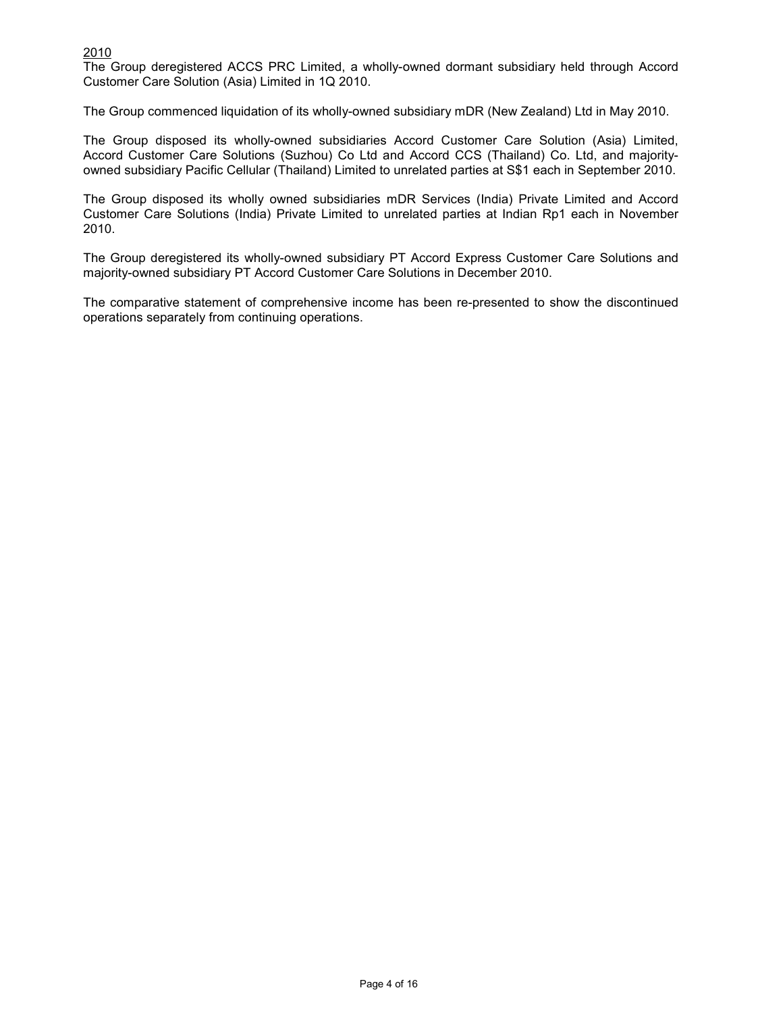# 2010

The Group deregistered ACCS PRC Limited, a wholly-owned dormant subsidiary held through Accord Customer Care Solution (Asia) Limited in 1Q 2010.

The Group commenced liquidation of its wholly-owned subsidiary mDR (New Zealand) Ltd in May 2010.

The Group disposed its wholly-owned subsidiaries Accord Customer Care Solution (Asia) Limited, Accord Customer Care Solutions (Suzhou) Co Ltd and Accord CCS (Thailand) Co. Ltd, and majorityowned subsidiary Pacific Cellular (Thailand) Limited to unrelated parties at S\$1 each in September 2010.

The Group disposed its wholly owned subsidiaries mDR Services (India) Private Limited and Accord Customer Care Solutions (India) Private Limited to unrelated parties at Indian Rp1 each in November 2010.

The Group deregistered its wholly-owned subsidiary PT Accord Express Customer Care Solutions and majority-owned subsidiary PT Accord Customer Care Solutions in December 2010.

The comparative statement of comprehensive income has been re-presented to show the discontinued operations separately from continuing operations.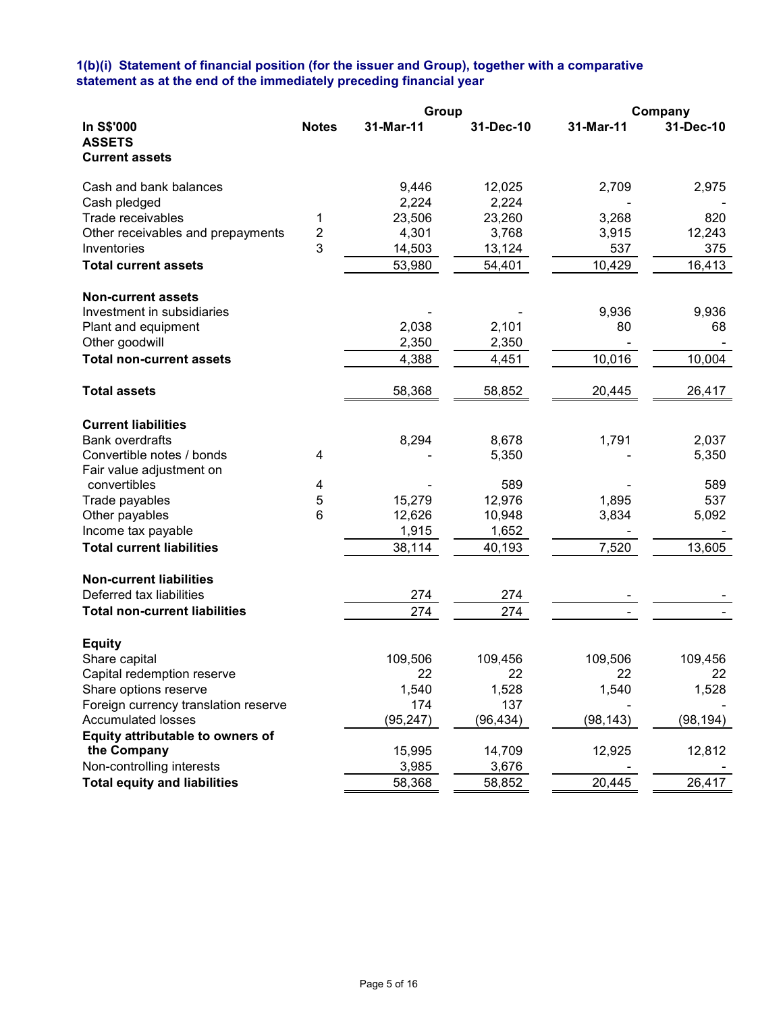## **1(b)(i) Statement of financial position (for the issuer and Group), together with a comparative statement as at the end of the immediately preceding financial year**

|                                                            |                | Group     |           |           | Company   |
|------------------------------------------------------------|----------------|-----------|-----------|-----------|-----------|
| In S\$'000<br><b>ASSETS</b><br><b>Current assets</b>       | <b>Notes</b>   | 31-Mar-11 | 31-Dec-10 | 31-Mar-11 | 31-Dec-10 |
| Cash and bank balances                                     |                | 9,446     | 12,025    | 2,709     | 2,975     |
| Cash pledged                                               |                | 2,224     | 2,224     |           |           |
| Trade receivables                                          | 1              | 23,506    | 23,260    | 3,268     | 820       |
| Other receivables and prepayments                          | $\overline{c}$ | 4,301     | 3,768     | 3,915     | 12,243    |
| Inventories                                                | 3              | 14,503    | 13,124    | 537       | 375       |
| <b>Total current assets</b>                                |                |           |           |           |           |
|                                                            |                | 53,980    | 54,401    | 10,429    | 16,413    |
| <b>Non-current assets</b>                                  |                |           |           |           |           |
| Investment in subsidiaries                                 |                |           |           | 9,936     | 9,936     |
| Plant and equipment                                        |                | 2,038     | 2,101     | 80        | 68        |
| Other goodwill                                             |                | 2,350     | 2,350     |           |           |
| <b>Total non-current assets</b>                            |                | 4,388     | 4,451     | 10,016    | 10,004    |
| <b>Total assets</b>                                        |                | 58,368    | 58,852    | 20,445    | 26,417    |
| <b>Current liabilities</b>                                 |                |           |           |           |           |
| <b>Bank overdrafts</b>                                     |                | 8,294     | 8,678     | 1,791     | 2,037     |
| Convertible notes / bonds                                  | 4              |           | 5,350     |           | 5,350     |
| Fair value adjustment on                                   |                |           |           |           |           |
| convertibles                                               | 4              |           | 589       |           | 589       |
| Trade payables                                             | 5              | 15,279    | 12,976    | 1,895     | 537       |
| Other payables                                             | 6              | 12,626    | 10,948    | 3,834     | 5,092     |
| Income tax payable                                         |                | 1,915     | 1,652     |           |           |
| <b>Total current liabilities</b>                           |                | 38,114    | 40,193    | 7,520     | 13,605    |
|                                                            |                |           |           |           |           |
| <b>Non-current liabilities</b><br>Deferred tax liabilities |                | 274       | 274       |           |           |
|                                                            |                |           |           |           |           |
| <b>Total non-current liabilities</b>                       |                | 274       | 274       |           |           |
| <b>Equity</b>                                              |                |           |           |           |           |
| Share capital                                              |                | 109,506   | 109,456   | 109,506   | 109,456   |
| Capital redemption reserve                                 |                | 22        | 22        | 22        | 22        |
| Share options reserve                                      |                | 1,540     | 1,528     | 1,540     | 1,528     |
| Foreign currency translation reserve                       |                | 174       | 137       |           |           |
| <b>Accumulated losses</b>                                  |                | (95, 247) | (96, 434) | (98, 143) | (98, 194) |
| Equity attributable to owners of                           |                |           |           |           |           |
| the Company                                                |                | 15,995    | 14,709    | 12,925    | 12,812    |
| Non-controlling interests                                  |                | 3,985     | 3,676     |           |           |
| <b>Total equity and liabilities</b>                        |                | 58,368    | 58,852    | 20,445    | 26,417    |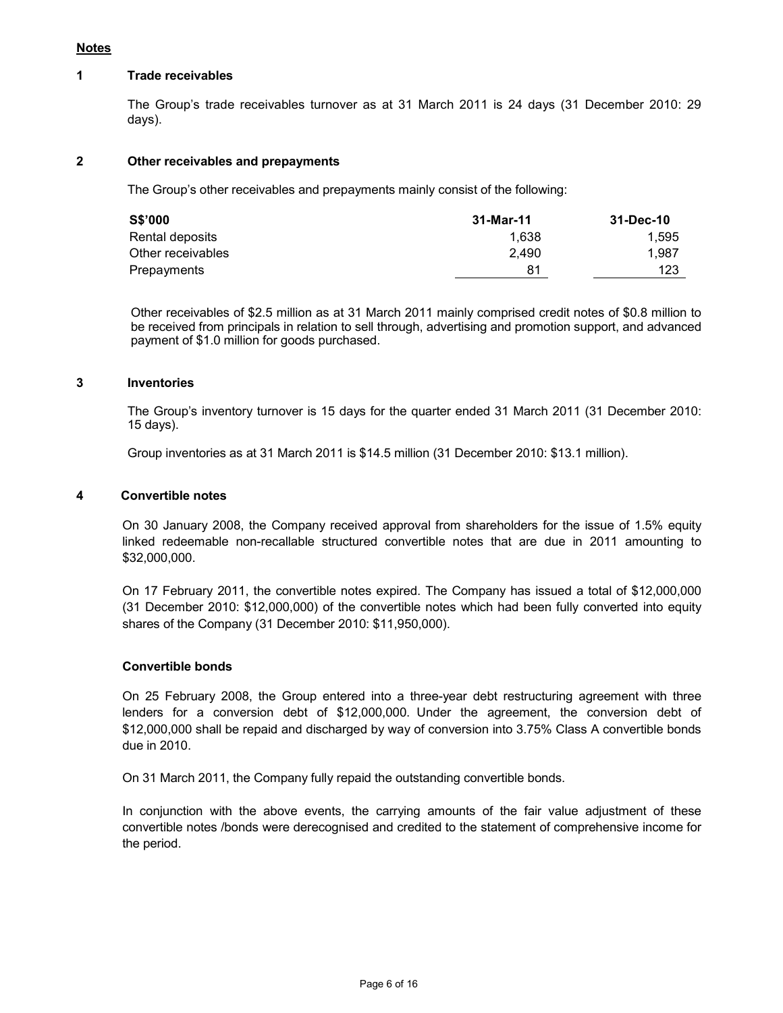# **Notes**

#### **1 Trade receivables**

 The Group's trade receivables turnover as at 31 March 2011 is 24 days (31 December 2010: 29 days).

## **2 Other receivables and prepayments**

The Group's other receivables and prepayments mainly consist of the following:

| S\$'000           | 31-Mar-11 | 31-Dec-10 |
|-------------------|-----------|-----------|
| Rental deposits   | 1.638     | 1.595     |
| Other receivables | 2.490     | 1.987     |
| Prepayments       | 81        | 123       |

 Other receivables of \$2.5 million as at 31 March 2011 mainly comprised credit notes of \$0.8 million to be received from principals in relation to sell through, advertising and promotion support, and advanced payment of \$1.0 million for goods purchased.

#### **3 Inventories**

 The Group's inventory turnover is 15 days for the quarter ended 31 March 2011 (31 December 2010: 15 days).

Group inventories as at 31 March 2011 is \$14.5 million (31 December 2010: \$13.1 million).

### **4 Convertible notes**

 On 30 January 2008, the Company received approval from shareholders for the issue of 1.5% equity linked redeemable non-recallable structured convertible notes that are due in 2011 amounting to \$32,000,000.

 On 17 February 2011, the convertible notes expired. The Company has issued a total of \$12,000,000 (31 December 2010: \$12,000,000) of the convertible notes which had been fully converted into equity shares of the Company (31 December 2010: \$11,950,000).

### **Convertible bonds**

 On 25 February 2008, the Group entered into a three-year debt restructuring agreement with three lenders for a conversion debt of \$12,000,000. Under the agreement, the conversion debt of \$12,000,000 shall be repaid and discharged by way of conversion into 3.75% Class A convertible bonds due in 2010.

On 31 March 2011, the Company fully repaid the outstanding convertible bonds.

 In conjunction with the above events, the carrying amounts of the fair value adjustment of these convertible notes /bonds were derecognised and credited to the statement of comprehensive income for the period.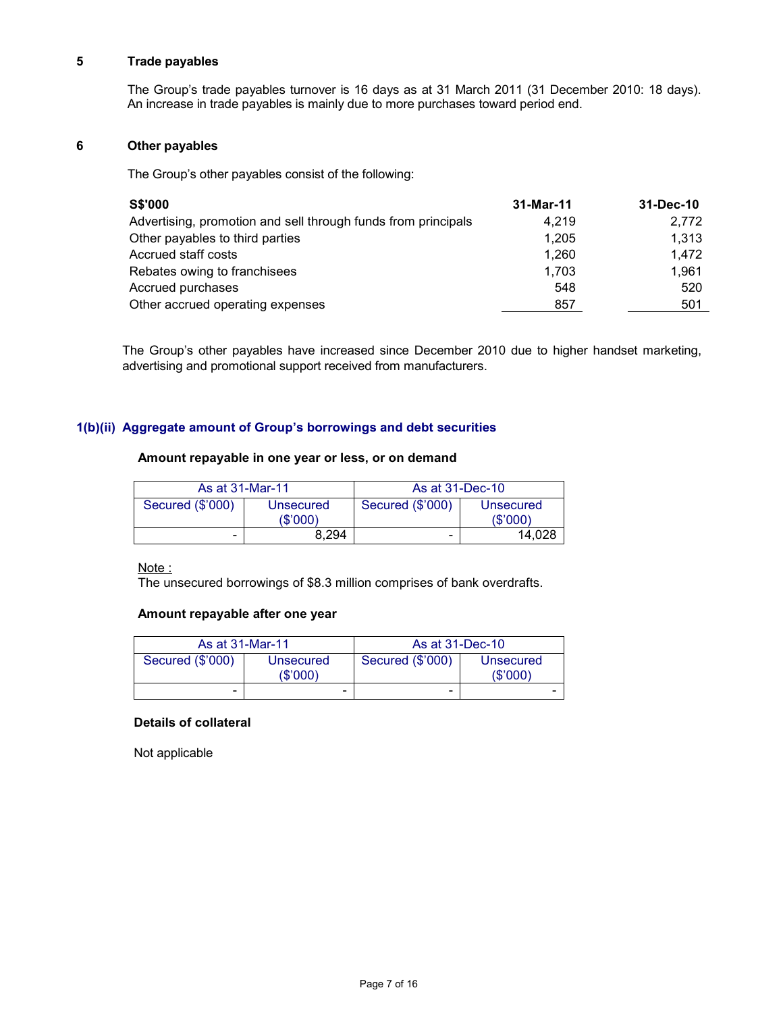### **5 Trade payables**

 The Group's trade payables turnover is 16 days as at 31 March 2011 (31 December 2010: 18 days). An increase in trade payables is mainly due to more purchases toward period end.

# **6 Other payables**

The Group's other payables consist of the following:

| <b>S\$'000</b>                                                | 31-Mar-11 | 31-Dec-10 |
|---------------------------------------------------------------|-----------|-----------|
| Advertising, promotion and sell through funds from principals | 4.219     | 2,772     |
| Other payables to third parties                               | 1.205     | 1.313     |
| Accrued staff costs                                           | 1.260     | 1,472     |
| Rebates owing to franchisees                                  | 1,703     | 1.961     |
| Accrued purchases                                             | 548       | 520       |
| Other accrued operating expenses                              | 857       | 501       |

The Group's other payables have increased since December 2010 due to higher handset marketing, advertising and promotional support received from manufacturers.

# **1(b)(ii) Aggregate amount of Group's borrowings and debt securities**

# **Amount repayable in one year or less, or on demand**

| As at 31-Mar-11  |                       | As at 31-Dec-10          |                      |
|------------------|-----------------------|--------------------------|----------------------|
| Secured (\$'000) | Unsecured<br>(\$'000) | Secured (\$'000)         | Unsecured<br>(S'000) |
| -                | 8.294                 | $\overline{\phantom{0}}$ | 14.028               |

Note:

The unsecured borrowings of \$8.3 million comprises of bank overdrafts.

# **Amount repayable after one year**

| As at 31-Mar-11  |                      | As at 31-Dec-10          |                      |
|------------------|----------------------|--------------------------|----------------------|
| Secured (\$'000) | Unsecured<br>(S'000) | Secured (\$'000)         | Unsecured<br>(S'000) |
| -                | -                    | $\overline{\phantom{0}}$ | -                    |

### **Details of collateral**

Not applicable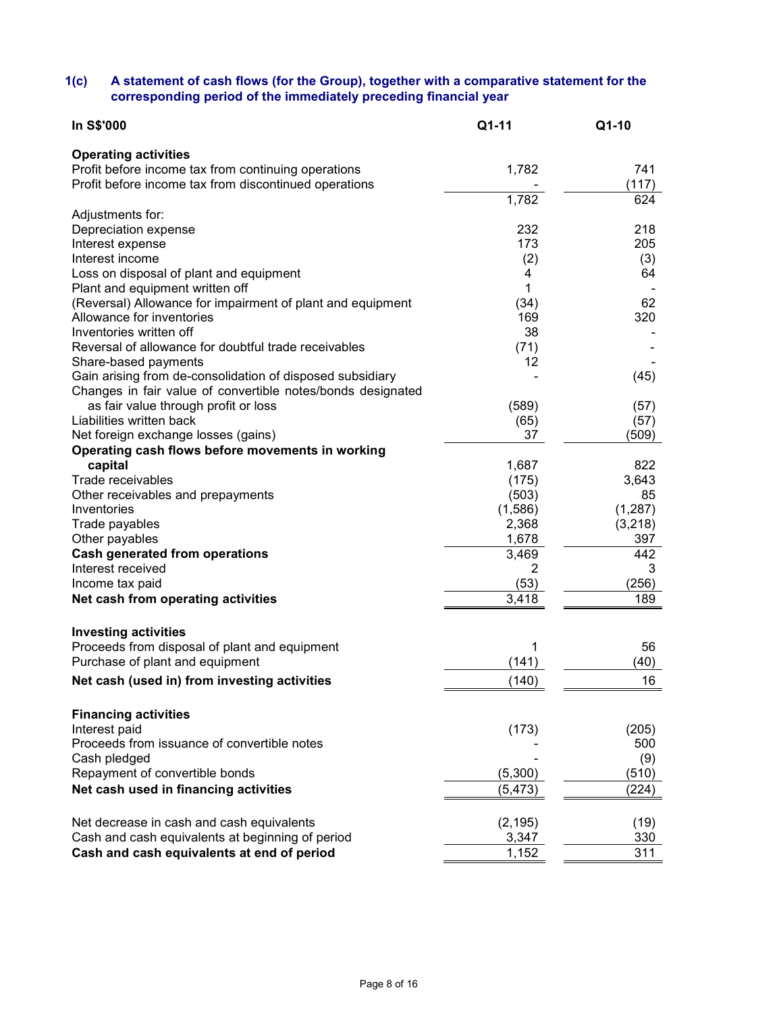### **1(c) A statement of cash flows (for the Group), together with a comparative statement for the corresponding period of the immediately preceding financial year**

| In S\$'000                                                                      | Q1-11      | Q1-10        |
|---------------------------------------------------------------------------------|------------|--------------|
| <b>Operating activities</b>                                                     |            |              |
| Profit before income tax from continuing operations                             | 1,782      | 741          |
| Profit before income tax from discontinued operations                           |            | (117)        |
|                                                                                 | 1,782      | 624          |
| Adjustments for:                                                                |            |              |
| Depreciation expense                                                            | 232        | 218          |
| Interest expense                                                                | 173        | 205          |
| Interest income                                                                 | (2)        | (3)          |
| Loss on disposal of plant and equipment                                         | 4          | 64           |
| Plant and equipment written off                                                 | 1          |              |
| (Reversal) Allowance for impairment of plant and equipment                      | (34)       | 62           |
| Allowance for inventories                                                       | 169        | 320          |
| Inventories written off<br>Reversal of allowance for doubtful trade receivables | 38<br>(71) |              |
| Share-based payments                                                            | 12         |              |
| Gain arising from de-consolidation of disposed subsidiary                       |            | (45)         |
| Changes in fair value of convertible notes/bonds designated                     |            |              |
| as fair value through profit or loss                                            | (589)      | (57)         |
| Liabilities written back                                                        | (65)       | (57)         |
| Net foreign exchange losses (gains)                                             | 37         | (509)        |
| Operating cash flows before movements in working                                |            |              |
| capital                                                                         | 1,687      | 822          |
| Trade receivables                                                               | (175)      | 3,643        |
| Other receivables and prepayments                                               | (503)      | 85           |
| Inventories                                                                     | (1,586)    | (1, 287)     |
| Trade payables                                                                  | 2,368      | (3,218)      |
| Other payables                                                                  | 1,678      | 397          |
| <b>Cash generated from operations</b>                                           | 3,469      | 442          |
| Interest received                                                               | 2          | 3            |
| Income tax paid                                                                 | (53)       | (256)        |
| Net cash from operating activities                                              | 3,418      | 189          |
|                                                                                 |            |              |
| <b>Investing activities</b>                                                     |            |              |
| Proceeds from disposal of plant and equipment                                   | 1          | 56           |
| Purchase of plant and equipment                                                 | (141)      | (40)         |
| Net cash (used in) from investing activities                                    | (140)      | 16           |
|                                                                                 |            |              |
| <b>Financing activities</b><br>Interest paid                                    |            |              |
| Proceeds from issuance of convertible notes                                     | (173)      | (205)<br>500 |
| Cash pledged                                                                    |            | (9)          |
| Repayment of convertible bonds                                                  | (5,300)    | (510)        |
| Net cash used in financing activities                                           | (5, 473)   | (224)        |
|                                                                                 |            |              |
| Net decrease in cash and cash equivalents                                       | (2, 195)   | (19)         |
| Cash and cash equivalents at beginning of period                                | 3,347      | 330          |
| Cash and cash equivalents at end of period                                      | 1,152      | 311          |
|                                                                                 |            |              |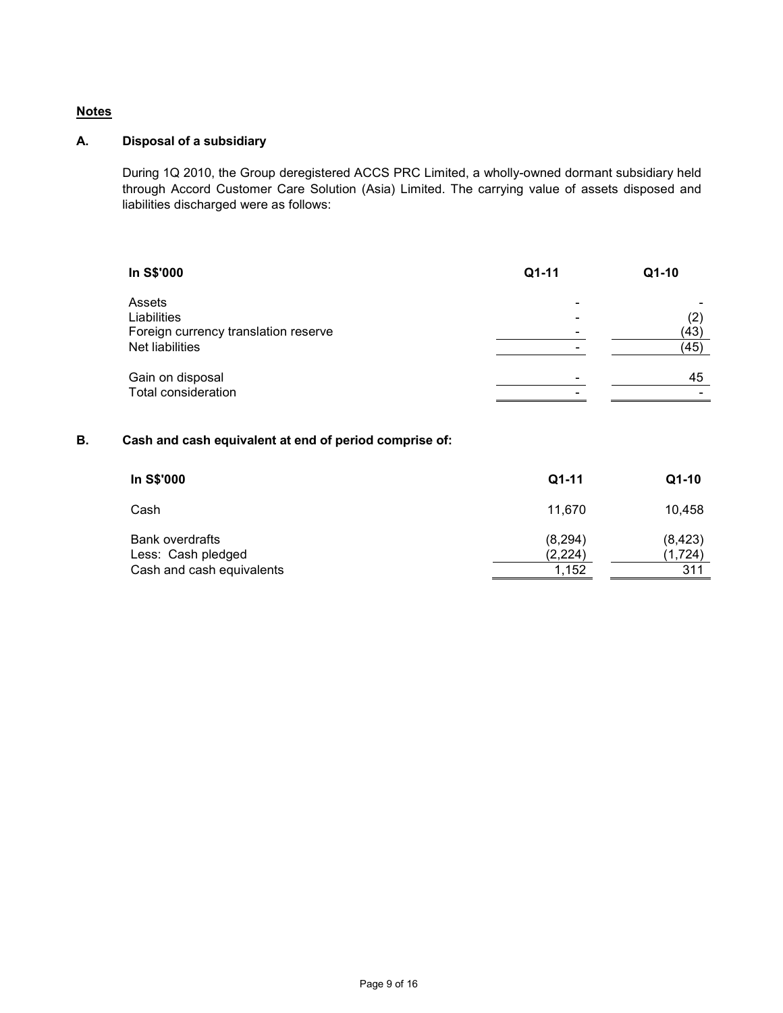# **Notes**

# **A. Disposal of a subsidiary**

During 1Q 2010, the Group deregistered ACCS PRC Limited, a wholly-owned dormant subsidiary held through Accord Customer Care Solution (Asia) Limited. The carrying value of assets disposed and liabilities discharged were as follows:

| In S\$'000                           | Q1-11 | Q1-10 |
|--------------------------------------|-------|-------|
| Assets                               |       |       |
| Liabilities                          |       | (2)   |
| Foreign currency translation reserve |       | (43)  |
| <b>Net liabilities</b>               |       | (45)  |
| Gain on disposal                     |       | 45    |
| <b>Total consideration</b>           |       |       |

# **B. Cash and cash equivalent at end of period comprise of:**

| In S\$'000                                                                | $Q1-11$                      | $Q1-10$                    |
|---------------------------------------------------------------------------|------------------------------|----------------------------|
| Cash                                                                      | 11.670                       | 10,458                     |
| <b>Bank overdrafts</b><br>Less: Cash pledged<br>Cash and cash equivalents | (8, 294)<br>(2,224)<br>1,152 | (8, 423)<br>(1,724)<br>311 |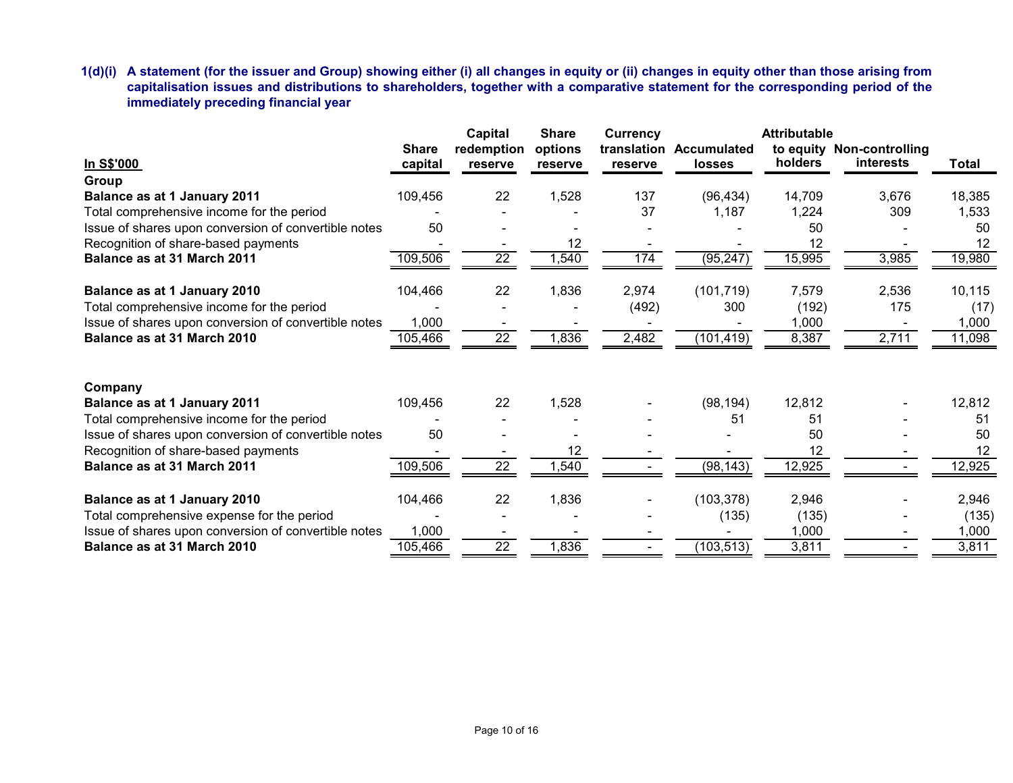**1(d)(i) A statement (for the issuer and Group) showing either (i) all changes in equity or (ii) changes in equity other than those arising from capitalisation issues and distributions to shareholders, together with a comparative statement for the corresponding period of the immediately preceding financial year** 

|                                                      |              | <b>Capital</b>  | <b>Share</b> | <b>Currency</b> |                    | <b>Attributable</b> |                           |        |
|------------------------------------------------------|--------------|-----------------|--------------|-----------------|--------------------|---------------------|---------------------------|--------|
|                                                      | <b>Share</b> | redemption      | options      | translation     | <b>Accumulated</b> |                     | to equity Non-controlling |        |
| In S\$'000                                           | capital      | reserve         | reserve      | reserve         | <b>losses</b>      | holders             | interests                 | Total  |
| Group                                                |              |                 |              |                 |                    |                     |                           |        |
| Balance as at 1 January 2011                         | 109,456      | 22              | 1,528        | 137             | (96, 434)          | 14,709              | 3,676                     | 18,385 |
| Total comprehensive income for the period            |              |                 |              | 37              | 1,187              | 1,224               | 309                       | 1,533  |
| Issue of shares upon conversion of convertible notes | 50           |                 |              |                 |                    | 50                  |                           | 50     |
| Recognition of share-based payments                  |              |                 | 12           |                 |                    | 12                  |                           | 12     |
| Balance as at 31 March 2011                          | 109,506      | 22              | 1,540        | 174             | (95, 247)          | 15,995              | 3,985                     | 19,980 |
| Balance as at 1 January 2010                         | 104,466      | 22              | 1,836        | 2,974           | (101, 719)         | 7,579               | 2,536                     | 10,115 |
| Total comprehensive income for the period            |              |                 |              | (492)           | 300                | (192)               | 175                       | (17)   |
| Issue of shares upon conversion of convertible notes | 1,000        |                 |              |                 |                    | 1,000               |                           | 1,000  |
| Balance as at 31 March 2010                          | 105,466      | $\overline{22}$ | 1,836        | 2,482           | (101, 419)         | 8,387               | 2,711                     | 11,098 |
|                                                      |              |                 |              |                 |                    |                     |                           |        |
| Company                                              |              |                 |              |                 |                    |                     |                           |        |
| Balance as at 1 January 2011                         | 109,456      | 22              | 1,528        |                 | (98, 194)          | 12,812              |                           | 12,812 |
| Total comprehensive income for the period            |              |                 |              |                 | 51                 | 51                  |                           | 51     |
| Issue of shares upon conversion of convertible notes | 50           |                 |              |                 |                    | 50                  |                           | 50     |
| Recognition of share-based payments                  |              |                 | 12           |                 |                    | 12                  |                           | 12     |
| Balance as at 31 March 2011                          | 109,506      | $\overline{22}$ | ,540         |                 | (98, 143)          | 12,925              |                           | 12,925 |
| Balance as at 1 January 2010                         | 104,466      | 22              | 1,836        |                 | (103, 378)         | 2,946               |                           | 2,946  |
| Total comprehensive expense for the period           |              |                 |              |                 | (135)              | (135)               |                           | (135)  |
| Issue of shares upon conversion of convertible notes | 1,000        |                 |              |                 |                    | 1,000               |                           | 1,000  |
| Balance as at 31 March 2010                          | 105,466      | $\overline{22}$ | 1,836        |                 | (103, 513)         | 3,811               |                           | 3,811  |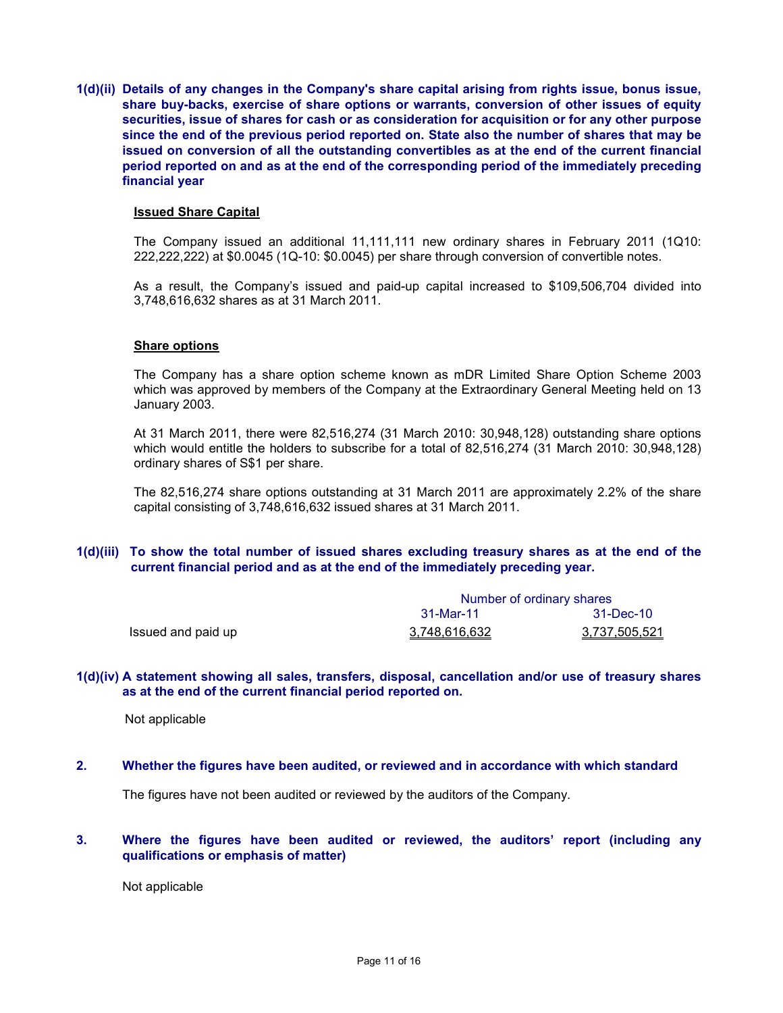**1(d)(ii) Details of any changes in the Company's share capital arising from rights issue, bonus issue, share buy-backs, exercise of share options or warrants, conversion of other issues of equity securities, issue of shares for cash or as consideration for acquisition or for any other purpose since the end of the previous period reported on. State also the number of shares that may be issued on conversion of all the outstanding convertibles as at the end of the current financial period reported on and as at the end of the corresponding period of the immediately preceding financial year** 

#### **Issued Share Capital**

The Company issued an additional 11,111,111 new ordinary shares in February 2011 (1Q10: 222,222,222) at \$0.0045 (1Q-10: \$0.0045) per share through conversion of convertible notes.

As a result, the Company's issued and paid-up capital increased to \$109,506,704 divided into 3,748,616,632 shares as at 31 March 2011.

#### **Share options**

The Company has a share option scheme known as mDR Limited Share Option Scheme 2003 which was approved by members of the Company at the Extraordinary General Meeting held on 13 January 2003.

At 31 March 2011, there were 82,516,274 (31 March 2010: 30,948,128) outstanding share options which would entitle the holders to subscribe for a total of 82,516,274 (31 March 2010: 30,948,128) ordinary shares of S\$1 per share.

The 82,516,274 share options outstanding at 31 March 2011 are approximately 2.2% of the share capital consisting of 3,748,616,632 issued shares at 31 March 2011.

### **1(d)(iii) To show the total number of issued shares excluding treasury shares as at the end of the current financial period and as at the end of the immediately preceding year.**

|                    | Number of ordinary shares |               |  |
|--------------------|---------------------------|---------------|--|
|                    | 31-Mar-11                 | 31-Dec-10     |  |
| Issued and paid up | 3.748.616.632             | 3,737,505,521 |  |

#### **1(d)(iv) A statement showing all sales, transfers, disposal, cancellation and/or use of treasury shares as at the end of the current financial period reported on.**

Not applicable

**2. Whether the figures have been audited, or reviewed and in accordance with which standard** 

The figures have not been audited or reviewed by the auditors of the Company.

### **3. Where the figures have been audited or reviewed, the auditors' report (including any qualifications or emphasis of matter)**

Not applicable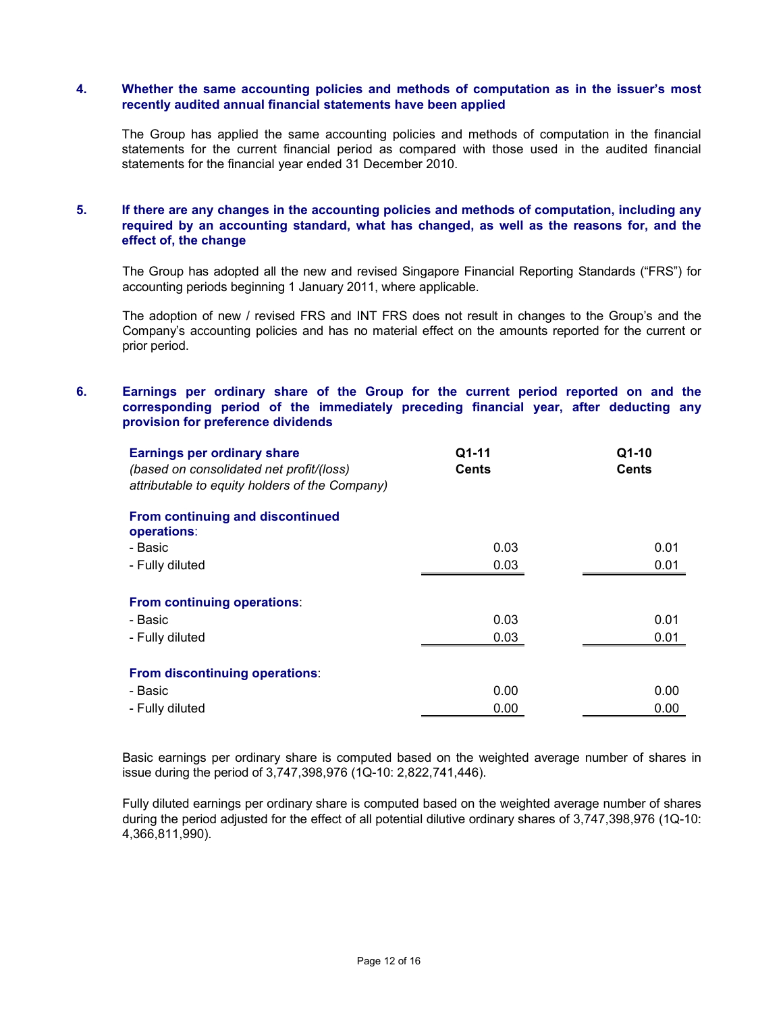### **4. Whether the same accounting policies and methods of computation as in the issuer's most recently audited annual financial statements have been applied**

The Group has applied the same accounting policies and methods of computation in the financial statements for the current financial period as compared with those used in the audited financial statements for the financial year ended 31 December 2010.

# **5. If there are any changes in the accounting policies and methods of computation, including any required by an accounting standard, what has changed, as well as the reasons for, and the effect of, the change**

The Group has adopted all the new and revised Singapore Financial Reporting Standards ("FRS") for accounting periods beginning 1 January 2011, where applicable.

The adoption of new / revised FRS and INT FRS does not result in changes to the Group's and the Company's accounting policies and has no material effect on the amounts reported for the current or prior period.

## **6. Earnings per ordinary share of the Group for the current period reported on and the corresponding period of the immediately preceding financial year, after deducting any provision for preference dividends**

| <b>Earnings per ordinary share</b><br>(based on consolidated net profit/(loss)<br>attributable to equity holders of the Company) | Q1-11<br><b>Cents</b> | Q1-10<br><b>Cents</b> |
|----------------------------------------------------------------------------------------------------------------------------------|-----------------------|-----------------------|
| From continuing and discontinued<br>operations:                                                                                  |                       |                       |
| - Basic                                                                                                                          | 0.03                  | 0.01                  |
| - Fully diluted                                                                                                                  | 0.03                  | 0.01                  |
| From continuing operations:<br>- Basic<br>- Fully diluted                                                                        | 0.03<br>0.03          | 0.01<br>0.01          |
| From discontinuing operations:<br>- Basic<br>- Fully diluted                                                                     | 0.00<br>0.00          | 0.00<br>0.00          |

Basic earnings per ordinary share is computed based on the weighted average number of shares in issue during the period of 3,747,398,976 (1Q-10: 2,822,741,446).

Fully diluted earnings per ordinary share is computed based on the weighted average number of shares during the period adjusted for the effect of all potential dilutive ordinary shares of 3,747,398,976 (1Q-10: 4,366,811,990).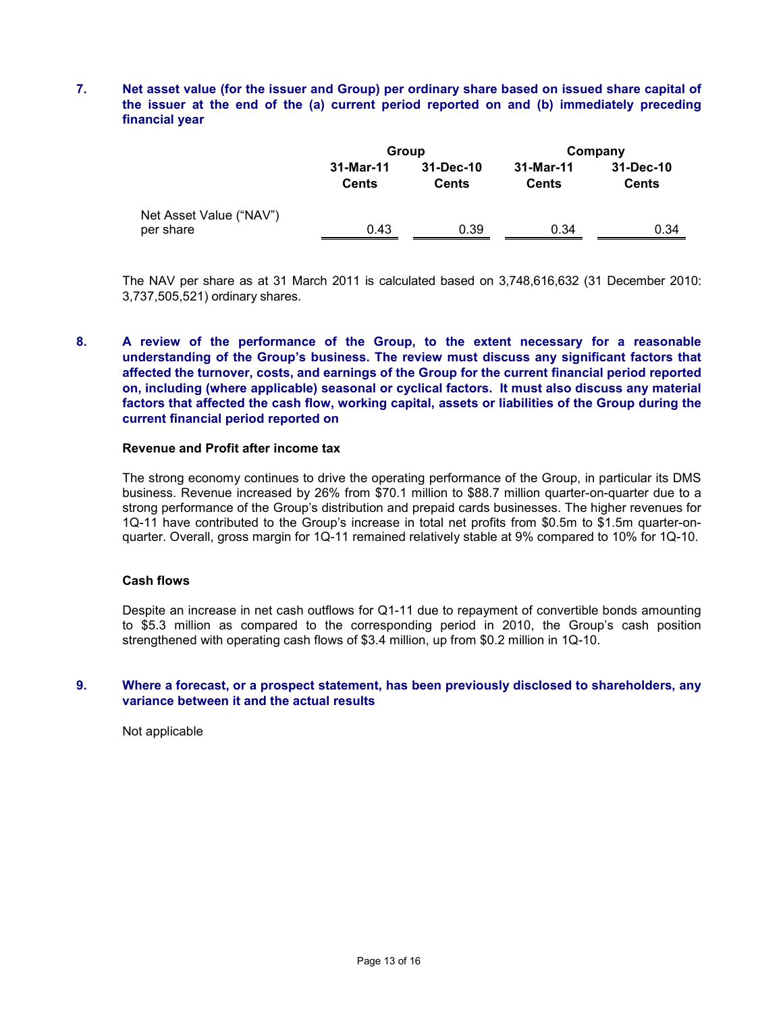# **7. Net asset value (for the issuer and Group) per ordinary share based on issued share capital of the issuer at the end of the (a) current period reported on and (b) immediately preceding financial year**

|                                      |                           | Group                     | Company            |                           |  |
|--------------------------------------|---------------------------|---------------------------|--------------------|---------------------------|--|
|                                      | 31-Mar-11<br><b>Cents</b> | 31-Dec-10<br><b>Cents</b> | 31-Mar-11<br>Cents | 31-Dec-10<br><b>Cents</b> |  |
| Net Asset Value ("NAV")<br>per share | 0.43                      | 0.39                      | 0.34               | 0.34                      |  |

The NAV per share as at 31 March 2011 is calculated based on 3,748,616,632 (31 December 2010: 3,737,505,521) ordinary shares.

# **8. A review of the performance of the Group, to the extent necessary for a reasonable understanding of the Group's business. The review must discuss any significant factors that affected the turnover, costs, and earnings of the Group for the current financial period reported on, including (where applicable) seasonal or cyclical factors. It must also discuss any material factors that affected the cash flow, working capital, assets or liabilities of the Group during the current financial period reported on**

#### **Revenue and Profit after income tax**

The strong economy continues to drive the operating performance of the Group, in particular its DMS business. Revenue increased by 26% from \$70.1 million to \$88.7 million quarter-on-quarter due to a strong performance of the Group's distribution and prepaid cards businesses. The higher revenues for 1Q-11 have contributed to the Group's increase in total net profits from \$0.5m to \$1.5m quarter-onquarter. Overall, gross margin for 1Q-11 remained relatively stable at 9% compared to 10% for 1Q-10.

#### **Cash flows**

Despite an increase in net cash outflows for Q1-11 due to repayment of convertible bonds amounting to \$5.3 million as compared to the corresponding period in 2010, the Group's cash position strengthened with operating cash flows of \$3.4 million, up from \$0.2 million in 1Q-10.

#### **9. Where a forecast, or a prospect statement, has been previously disclosed to shareholders, any variance between it and the actual results**

Not applicable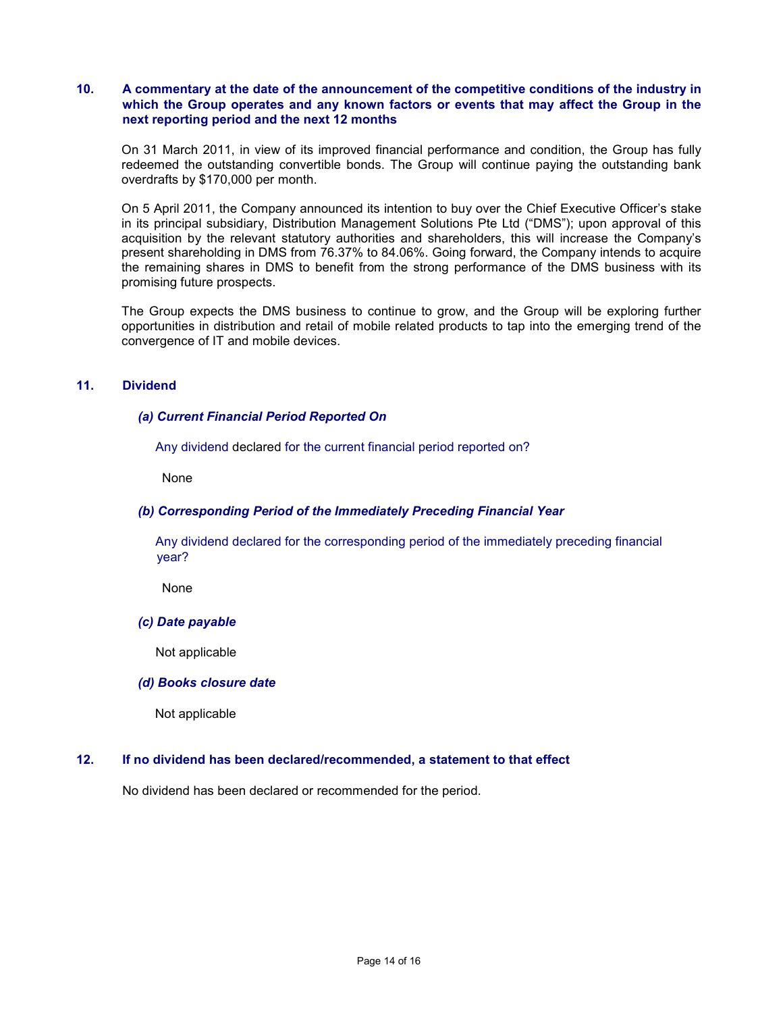### **10. A commentary at the date of the announcement of the competitive conditions of the industry in which the Group operates and any known factors or events that may affect the Group in the next reporting period and the next 12 months**

On 31 March 2011, in view of its improved financial performance and condition, the Group has fully redeemed the outstanding convertible bonds. The Group will continue paying the outstanding bank overdrafts by \$170,000 per month.

On 5 April 2011, the Company announced its intention to buy over the Chief Executive Officer's stake in its principal subsidiary, Distribution Management Solutions Pte Ltd ("DMS"); upon approval of this acquisition by the relevant statutory authorities and shareholders, this will increase the Company's present shareholding in DMS from 76.37% to 84.06%. Going forward, the Company intends to acquire the remaining shares in DMS to benefit from the strong performance of the DMS business with its promising future prospects.

The Group expects the DMS business to continue to grow, and the Group will be exploring further opportunities in distribution and retail of mobile related products to tap into the emerging trend of the convergence of IT and mobile devices.

# **11. Dividend**

# *(a) Current Financial Period Reported On*

Any dividend declared for the current financial period reported on?

None

# *(b) Corresponding Period of the Immediately Preceding Financial Year*

 Any dividend declared for the corresponding period of the immediately preceding financial year?

None

### *(c) Date payable*

Not applicable

### *(d) Books closure date*

Not applicable

### **12. If no dividend has been declared/recommended, a statement to that effect**

No dividend has been declared or recommended for the period.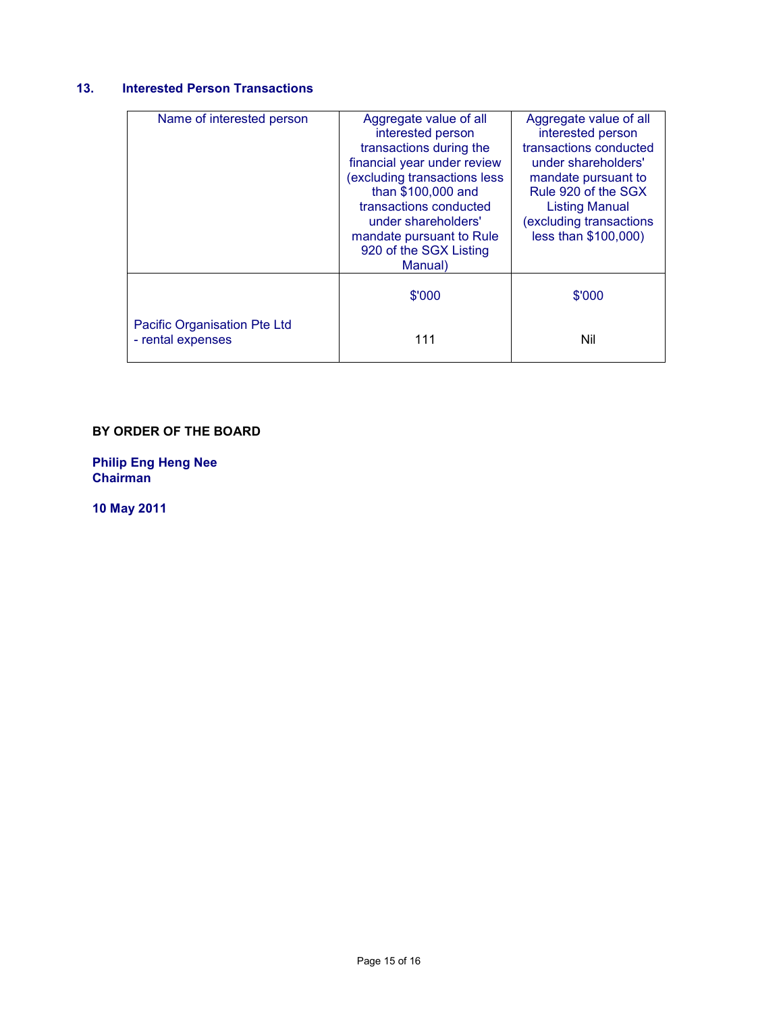# **13. Interested Person Transactions**

| Name of interested person                         | Aggregate value of all<br>interested person            | Aggregate value of all<br>interested person   |
|---------------------------------------------------|--------------------------------------------------------|-----------------------------------------------|
|                                                   | transactions during the<br>financial year under review | transactions conducted<br>under shareholders' |
|                                                   | (excluding transactions less                           | mandate pursuant to                           |
|                                                   | than \$100,000 and<br>transactions conducted           | Rule 920 of the SGX<br><b>Listing Manual</b>  |
|                                                   | under shareholders'                                    | excluding transactions                        |
|                                                   | mandate pursuant to Rule<br>920 of the SGX Listing     | less than \$100,000)                          |
|                                                   | Manual)                                                |                                               |
|                                                   | \$'000                                                 | \$'000                                        |
| Pacific Organisation Pte Ltd<br>- rental expenses | 111                                                    | Nil                                           |

# **BY ORDER OF THE BOARD**

**Philip Eng Heng Nee Chairman** 

**10 May 2011**